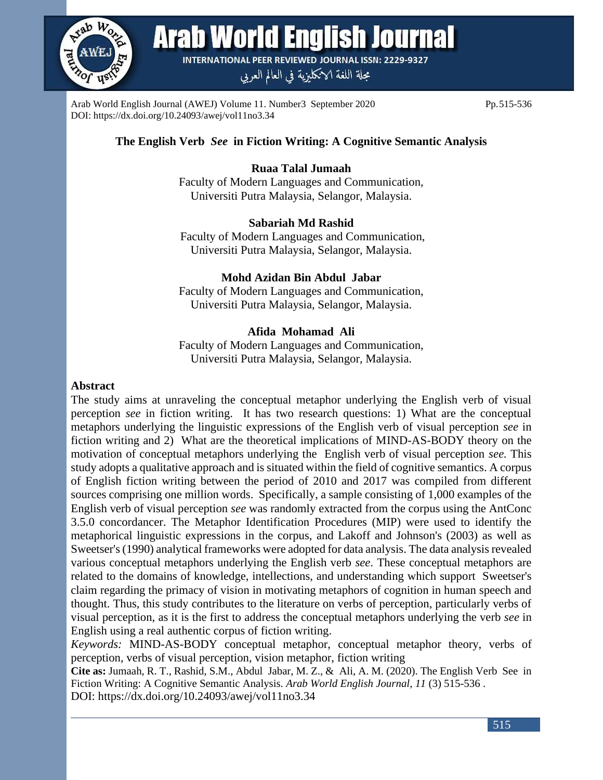

**Arab World English Journal** 

**INTERNATIONAL PEER REVIEWED JOURNAL ISSN: 2229-9327** 

مجلة اللغة الانكليزية في العالم العربي

Arab World English Journal (AWEJ) Volume 11. Number3 September 2020 Pp.515-536 DOI: https://dx.doi.org/10.24093/awej/vol11no3.34

# **The English Verb** *See* **in Fiction Writing: A Cognitive Semantic Analysis**

# **Ruaa Talal Jumaah**

Faculty of Modern Languages and Communication, Universiti Putra Malaysia, Selangor, Malaysia.

## **Sabariah Md Rashid**

Faculty of Modern Languages and Communication, Universiti Putra Malaysia, Selangor, Malaysia.

### **Mohd Azidan Bin Abdul Jabar**

Faculty of Modern Languages and Communication, Universiti Putra Malaysia, Selangor, Malaysia.

## **Afida Mohamad Ali**

Faculty of Modern Languages and Communication, Universiti Putra Malaysia, Selangor, Malaysia.

## **Abstract**

The study aims at unraveling the conceptual metaphor underlying the English verb of visual perception *see* in fiction writing. It has two research questions: 1) What are the conceptual metaphors underlying the linguistic expressions of the English verb of visual perception *see* in fiction writing and 2) What are the theoretical implications of MIND-AS-BODY theory on the motivation of conceptual metaphors underlying the English verb of visual perception *see.* This study adopts a qualitative approach and is situated within the field of cognitive semantics. A corpus of English fiction writing between the period of 2010 and 2017 was compiled from different sources comprising one million words. Specifically, a sample consisting of 1,000 examples of the English verb of visual perception *see* was randomly extracted from the corpus using the AntConc 3.5.0 concordancer. The Metaphor Identification Procedures (MIP) were used to identify the metaphorical linguistic expressions in the corpus, and Lakoff and Johnson's (2003) as well as Sweetser's (1990) analytical frameworks were adopted for data analysis. The data analysis revealed various conceptual metaphors underlying the English verb *see*. These conceptual metaphors are related to the domains of knowledge, intellections, and understanding which support Sweetser's claim regarding the primacy of vision in motivating metaphors of cognition in human speech and thought. Thus, this study contributes to the literature on verbs of perception, particularly verbs of visual perception, as it is the first to address the conceptual metaphors underlying the verb *see* in English using a real authentic corpus of fiction writing.

*Keywords:* MIND-AS-BODY conceptual metaphor, conceptual metaphor theory, verbs of perception, verbs of visual perception, vision metaphor, fiction writing

**Cite as:** Jumaah, R. T., Rashid, S.M., Abdul Jabar, M. Z., & Ali, A. M. (2020). The English Verb See in Fiction Writing: A Cognitive Semantic Analysis. *Arab World English Journal*, *11* (3) 515-536 . DOI: https://dx.doi.org/10.24093/awej/vol11no3.34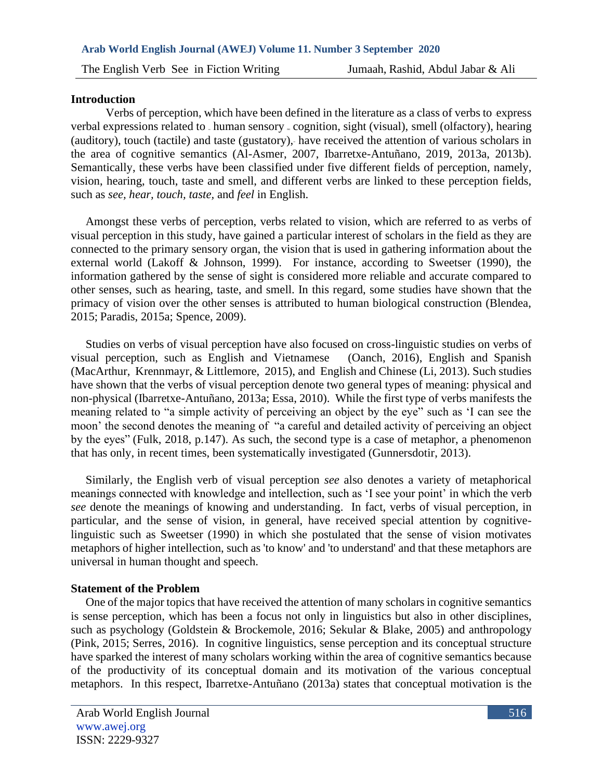#### **Introduction**

Verbs of perception, which have been defined in the literature as a class of verbs to express verbal expressions related to human sensory  $\triangle$  cognition, sight (visual), smell (olfactory), hearing (auditory), touch (tactile) and taste (gustatory)," have received the attention of various scholars in the area of cognitive semantics (Al-Asmer, 2007, Ibarretxe-Antuñano, 2019, 2013a, 2013b). Semantically, these verbs have been classified under five different fields of perception, namely, vision, hearing, touch, taste and smell, and different verbs are linked to these perception fields, such as *see, hear, touch, taste,* and *feel* in English.

 Amongst these verbs of perception, verbs related to vision, which are referred to as verbs of visual perception in this study, have gained a particular interest of scholars in the field as they are connected to the primary sensory organ, the vision that is used in gathering information about the external world (Lakoff & Johnson, 1999). For instance, according to Sweetser (1990), the information gathered by the sense of sight is considered more reliable and accurate compared to other senses, such as hearing, taste, and smell. In this regard, some studies have shown that the primacy of vision over the other senses is attributed to human biological construction (Blendea, 2015; Paradis, 2015a; Spence, 2009).

 Studies on verbs of visual perception have also focused on cross-linguistic studies on verbs of visual perception, such as English and Vietnamese (Oanch, 2016), English and Spanish (MacArthur, Krennmayr, & Littlemore, 2015), and English and Chinese (Li, 2013). Such studies have shown that the verbs of visual perception denote two general types of meaning: physical and non-physical (Ibarretxe-Antuñano, 2013a; Essa, 2010). While the first type of verbs manifests the meaning related to "a simple activity of perceiving an object by the eye" such as 'I can see the moon' the second denotes the meaning of "a careful and detailed activity of perceiving an object by the eyes" (Fulk, 2018, p.147). As such, the second type is a case of metaphor, a phenomenon that has only, in recent times, been systematically investigated (Gunnersdotir, 2013).

 Similarly, the English verb of visual perception *see* also denotes a variety of metaphorical meanings connected with knowledge and intellection, such as 'I see your point' in which the verb *see* denote the meanings of knowing and understanding. In fact, verbs of visual perception, in particular, and the sense of vision, in general, have received special attention by cognitivelinguistic such as Sweetser (1990) in which she postulated that the sense of vision motivates metaphors of higher intellection, such as 'to know' and 'to understand' and that these metaphors are universal in human thought and speech.

#### **Statement of the Problem**

 One of the major topics that have received the attention of many scholars in cognitive semantics is sense perception, which has been a focus not only in linguistics but also in other disciplines, such as psychology (Goldstein & Brockemole, 2016; Sekular & Blake, 2005) and anthropology (Pink, 2015; Serres, 2016). In cognitive linguistics, sense perception and its conceptual structure have sparked the interest of many scholars working within the area of cognitive semantics because of the productivity of its conceptual domain and its motivation of the various conceptual metaphors. In this respect, Ibarretxe-Antuñano (2013a) states that conceptual motivation is the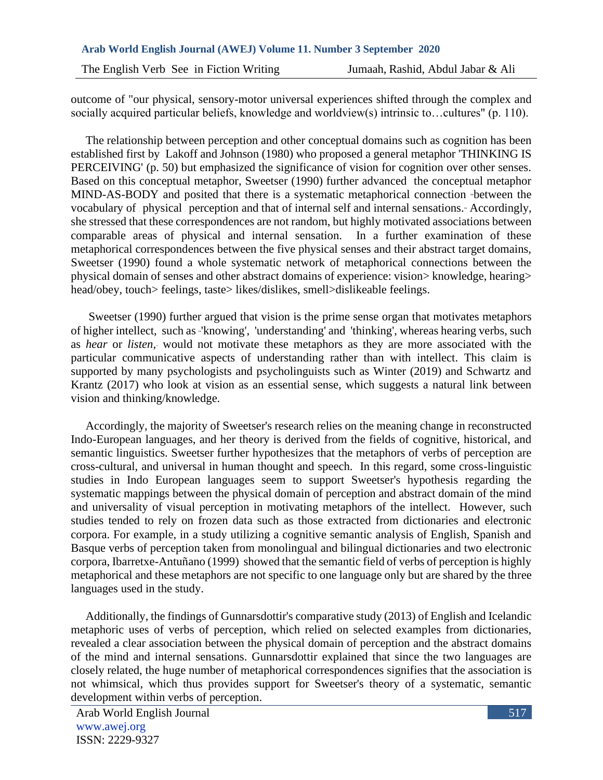outcome of "our physical, sensory-motor universal experiences shifted through the complex and socially acquired particular beliefs, knowledge and worldview(s) intrinsic to…cultures" (p. 110).

 The relationship between perception and other conceptual domains such as cognition has been established first by Lakoff and Johnson (1980) who proposed a general metaphor 'THINKING IS PERCEIVING' (p. 50) but emphasized the significance of vision for cognition over other senses. Based on this conceptual metaphor, Sweetser (1990) further advanced the conceptual metaphor MIND-AS-BODY and posited that there is a systematic metaphorical connection "between the vocabulary of physical perception and that of internal self and internal sensations." Accordingly, she stressed that these correspondences are not random, but highly motivated associations between comparable areas of physical and internal sensation. In a further examination of these metaphorical correspondences between the five physical senses and their abstract target domains, Sweetser (1990) found a whole systematic network of metaphorical connections between the physical domain of senses and other abstract domains of experience: vision> knowledge, hearing> head/obey, touch> feelings, taste> likes/dislikes, smell>dislikeable feelings.

 Sweetser (1990) further argued that vision is the prime sense organ that motivates metaphors of higher intellect, such as "'knowing', 'understanding' and 'thinking', whereas hearing verbs, such as *hear* or *listen*," would not motivate these metaphors as they are more associated with the particular communicative aspects of understanding rather than with intellect. This claim is supported by many psychologists and psycholinguists such as Winter (2019) and Schwartz and Krantz (2017) who look at vision as an essential sense, which suggests a natural link between vision and thinking/knowledge.

 Accordingly, the majority of Sweetser's research relies on the meaning change in reconstructed Indo-European languages, and her theory is derived from the fields of cognitive, historical, and semantic linguistics. Sweetser further hypothesizes that the metaphors of verbs of perception are cross-cultural, and universal in human thought and speech. In this regard, some cross-linguistic studies in Indo European languages seem to support Sweetser's hypothesis regarding the systematic mappings between the physical domain of perception and abstract domain of the mind and universality of visual perception in motivating metaphors of the intellect. However, such studies tended to rely on frozen data such as those extracted from dictionaries and electronic corpora. For example, in a study utilizing a cognitive semantic analysis of English, Spanish and Basque verbs of perception taken from monolingual and bilingual dictionaries and two electronic corpora, Ibarretxe-Antuñano (1999) showed that the semantic field of verbs of perception is highly metaphorical and these metaphors are not specific to one language only but are shared by the three languages used in the study.

 Additionally, the findings of Gunnarsdottir's comparative study (2013) of English and Icelandic metaphoric uses of verbs of perception, which relied on selected examples from dictionaries, revealed a clear association between the physical domain of perception and the abstract domains of the mind and internal sensations. Gunnarsdottir explained that since the two languages are closely related, the huge number of metaphorical correspondences signifies that the association is not whimsical, which thus provides support for Sweetser's theory of a systematic, semantic development within verbs of perception.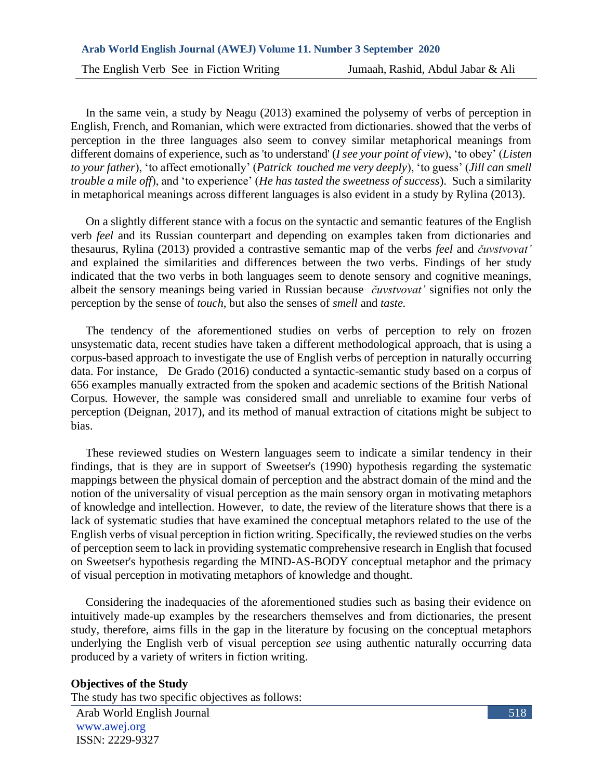In the same vein, a study by Neagu (2013) examined the polysemy of verbs of perception in English, French, and Romanian, which were extracted from dictionaries. showed that the verbs of perception in the three languages also seem to convey similar metaphorical meanings from different domains of experience, such as 'to understand' (*I see your point of view*), 'to obey' (*Listen to your father*), 'to affect emotionally' (*Patrick touched me very deeply*), 'to guess' (*Jill can smell trouble a mile off*), and 'to experience' (*He has tasted the sweetness of success*). Such a similarity in metaphorical meanings across different languages is also evident in a study by Rylina (2013).

 On a slightly different stance with a focus on the syntactic and semantic features of the English verb *feel* and its Russian counterpart and depending on examples taken from dictionaries and thesaurus, Rylina (2013) provided a contrastive semantic map of the verbs *feel* and *čuvstvovat'*  and explained the similarities and differences between the two verbs. Findings of her study indicated that the two verbs in both languages seem to denote sensory and cognitive meanings, albeit the sensory meanings being varied in Russian because *čuvstvovat'* signifies not only the perception by the sense of *touch*, but also the senses of *smell* and *taste.* 

 The tendency of the aforementioned studies on verbs of perception to rely on frozen unsystematic data, recent studies have taken a different methodological approach, that is using a corpus-based approach to investigate the use of English verbs of perception in naturally occurring data. For instance, De Grado (2016) conducted a syntactic-semantic study based on a corpus of 656 examples manually extracted from the spoken and academic sections of the British National Corpus*.* However, the sample was considered small and unreliable to examine four verbs of perception (Deignan, 2017), and its method of manual extraction of citations might be subject to bias.

 These reviewed studies on Western languages seem to indicate a similar tendency in their findings, that is they are in support of Sweetser's (1990) hypothesis regarding the systematic mappings between the physical domain of perception and the abstract domain of the mind and the notion of the universality of visual perception as the main sensory organ in motivating metaphors of knowledge and intellection. However, to date, the review of the literature shows that there is a lack of systematic studies that have examined the conceptual metaphors related to the use of the English verbs of visual perception in fiction writing. Specifically, the reviewed studies on the verbs of perception seem to lack in providing systematic comprehensive research in English that focused on Sweetser's hypothesis regarding the MIND-AS-BODY conceptual metaphor and the primacy of visual perception in motivating metaphors of knowledge and thought.

 Considering the inadequacies of the aforementioned studies such as basing their evidence on intuitively made-up examples by the researchers themselves and from dictionaries, the present study, therefore, aims fills in the gap in the literature by focusing on the conceptual metaphors underlying the English verb of visual perception *see* using authentic naturally occurring data produced by a variety of writers in fiction writing.

#### **Objectives of the Study**

The study has two specific objectives as follows:

Arab World English Journal www.awej.org ISSN: 2229-9327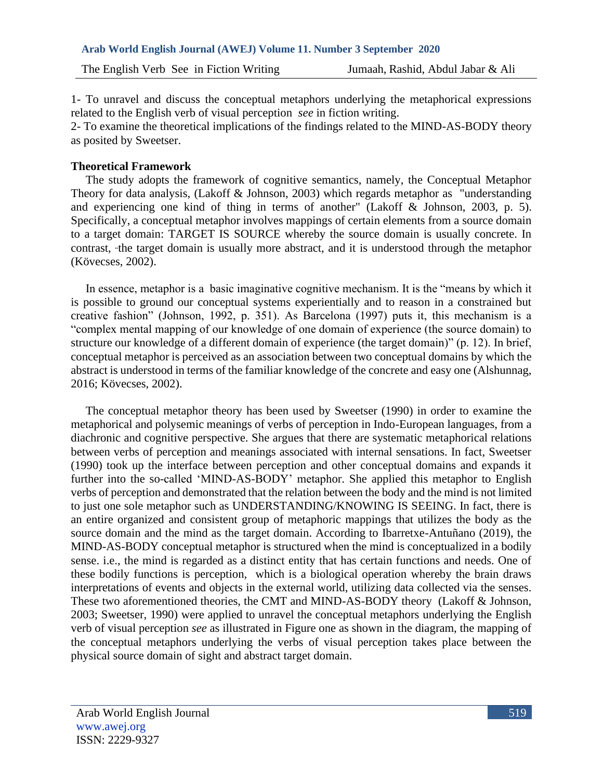1- To unravel and discuss the conceptual metaphors underlying the metaphorical expressions related to the English verb of visual perception *see* in fiction writing.

2- To examine the theoretical implications of the findings related to the MIND-AS-BODY theory as posited by Sweetser.

### **Theoretical Framework**

 The study adopts the framework of cognitive semantics, namely, the Conceptual Metaphor Theory for data analysis, (Lakoff & Johnson, 2003) which regards metaphor as "understanding and experiencing one kind of thing in terms of another" (Lakoff & Johnson, 2003, p. 5). Specifically, a conceptual metaphor involves mappings of certain elements from a source domain to a target domain: TARGET IS SOURCE whereby the source domain is usually concrete. In contrast, "the target domain is usually more abstract, and it is understood through the metaphor (Kövecses, 2002).

 In essence, metaphor is a basic imaginative cognitive mechanism. It is the "means by which it is possible to ground our conceptual systems experientially and to reason in a constrained but creative fashion" (Johnson, 1992, p. 351). As Barcelona (1997) puts it, this mechanism is a "complex mental mapping of our knowledge of one domain of experience (the source domain) to structure our knowledge of a different domain of experience (the target domain)" (p. 12). In brief, conceptual metaphor is perceived as an association between two conceptual domains by which the abstract is understood in terms of the familiar knowledge of the concrete and easy one (Alshunnag, 2016; Kövecses, 2002).

 The conceptual metaphor theory has been used by Sweetser (1990) in order to examine the metaphorical and polysemic meanings of verbs of perception in Indo-European languages, from a diachronic and cognitive perspective. She argues that there are systematic metaphorical relations between verbs of perception and meanings associated with internal sensations. In fact, Sweetser (1990) took up the interface between perception and other conceptual domains and expands it further into the so-called 'MIND-AS-BODY' metaphor. She applied this metaphor to English verbs of perception and demonstrated that the relation between the body and the mind is not limited to just one sole metaphor such as UNDERSTANDING/KNOWING IS SEEING. In fact, there is an entire organized and consistent group of metaphoric mappings that utilizes the body as the source domain and the mind as the target domain. According to Ibarretxe-Antuñano (2019), the MIND-AS-BODY conceptual metaphor is structured when the mind is conceptualized in a bodily sense. i.e., the mind is regarded as a distinct entity that has certain functions and needs. One of these bodily functions is perception, which is a biological operation whereby the brain draws interpretations of events and objects in the external world, utilizing data collected via the senses. These two aforementioned theories, the CMT and MIND-AS-BODY theory (Lakoff & Johnson, 2003; Sweetser, 1990) were applied to unravel the conceptual metaphors underlying the English verb of visual perception *see* as illustrated in Figure one as shown in the diagram, the mapping of the conceptual metaphors underlying the verbs of visual perception takes place between the physical source domain of sight and abstract target domain.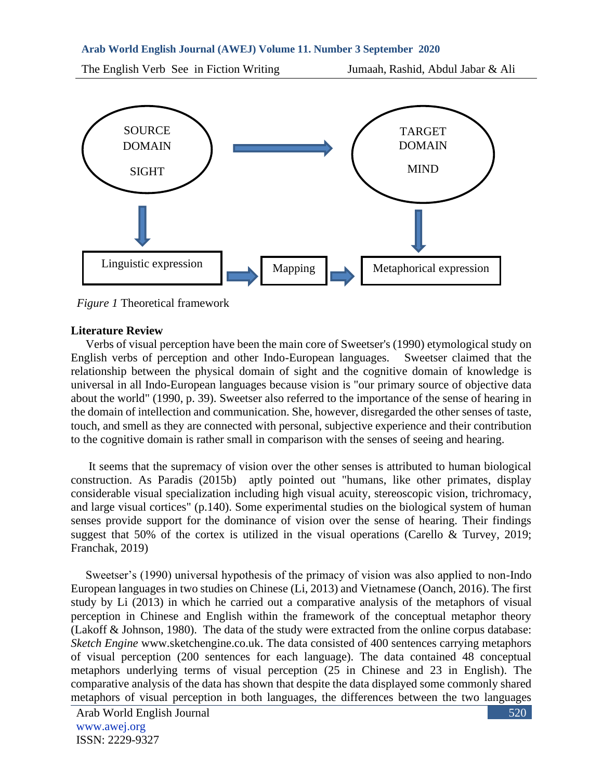The English Verb See in Fiction Writing Jumaah, Rashid, Abdul Jabar & Ali



*Figure 1* Theoretical framework

#### **Literature Review**

 Verbs of visual perception have been the main core of Sweetser's (1990) etymological study on English verbs of perception and other Indo-European languages. Sweetser claimed that the relationship between the physical domain of sight and the cognitive domain of knowledge is universal in all Indo-European languages because vision is "our primary source of objective data about the world" (1990, p. 39). Sweetser also referred to the importance of the sense of hearing in the domain of intellection and communication. She, however, disregarded the other senses of taste, touch, and smell as they are connected with personal, subjective experience and their contribution to the cognitive domain is rather small in comparison with the senses of seeing and hearing.

 It seems that the supremacy of vision over the other senses is attributed to human biological construction. As Paradis (2015b) aptly pointed out "humans, like other primates, display considerable visual specialization including high visual acuity, stereoscopic vision, trichromacy, and large visual cortices" (p.140). Some experimental studies on the biological system of human senses provide support for the dominance of vision over the sense of hearing. Their findings suggest that 50% of the cortex is utilized in the visual operations (Carello & Turvey, 2019; Franchak, 2019)

 Sweetser's (1990) universal hypothesis of the primacy of vision was also applied to non-Indo European languages in two studies on Chinese (Li, 2013) and Vietnamese (Oanch, 2016). The first study by Li (2013) in which he carried out a comparative analysis of the metaphors of visual perception in Chinese and English within the framework of the conceptual metaphor theory (Lakoff & Johnson, 1980). The data of the study were extracted from the online corpus database: *Sketch Engine* [www.sketchengine.co.uk.](http://www.sketchengine.co.uk/) The data consisted of 400 sentences carrying metaphors of visual perception (200 sentences for each language). The data contained 48 conceptual metaphors underlying terms of visual perception (25 in Chinese and 23 in English). The comparative analysis of the data has shown that despite the data displayed some commonly shared metaphors of visual perception in both languages, the differences between the two languages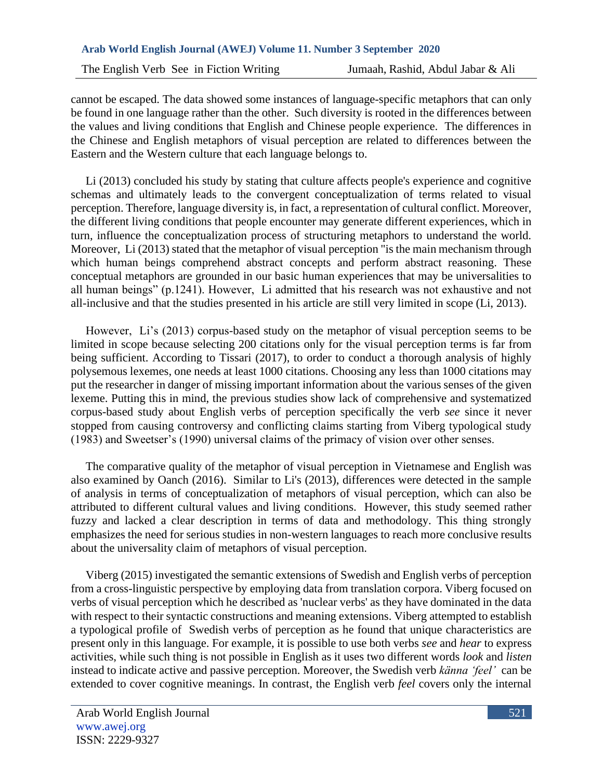cannot be escaped. The data showed some instances of language-specific metaphors that can only be found in one language rather than the other. Such diversity is rooted in the differences between the values and living conditions that English and Chinese people experience. The differences in the Chinese and English metaphors of visual perception are related to differences between the Eastern and the Western culture that each language belongs to.

 Li (2013) concluded his study by stating that culture affects people's experience and cognitive schemas and ultimately leads to the convergent conceptualization of terms related to visual perception. Therefore, language diversity is, in fact, a representation of cultural conflict. Moreover, the different living conditions that people encounter may generate different experiences, which in turn, influence the conceptualization process of structuring metaphors to understand the world. Moreover, Li (2013) stated that the metaphor of visual perception "is the main mechanism through which human beings comprehend abstract concepts and perform abstract reasoning. These conceptual metaphors are grounded in our basic human experiences that may be universalities to all human beings" (p.1241). However, Li admitted that his research was not exhaustive and not all-inclusive and that the studies presented in his article are still very limited in scope (Li, 2013).

 However, Li's (2013) corpus-based study on the metaphor of visual perception seems to be limited in scope because selecting 200 citations only for the visual perception terms is far from being sufficient. According to Tissari (2017), to order to conduct a thorough analysis of highly polysemous lexemes, one needs at least 1000 citations. Choosing any less than 1000 citations may put the researcher in danger of missing important information about the various senses of the given lexeme. Putting this in mind, the previous studies show lack of comprehensive and systematized corpus-based study about English verbs of perception specifically the verb *see* since it never stopped from causing controversy and conflicting claims starting from Viberg typological study (1983) and Sweetser's (1990) universal claims of the primacy of vision over other senses.

 The comparative quality of the metaphor of visual perception in Vietnamese and English was also examined by Oanch (2016). Similar to Li's (2013), differences were detected in the sample of analysis in terms of conceptualization of metaphors of visual perception, which can also be attributed to different cultural values and living conditions. However, this study seemed rather fuzzy and lacked a clear description in terms of data and methodology. This thing strongly emphasizes the need for serious studies in non-western languages to reach more conclusive results about the universality claim of metaphors of visual perception.

 Viberg (2015) investigated the semantic extensions of Swedish and English verbs of perception from a cross-linguistic perspective by employing data from translation corpora. Viberg focused on verbs of visual perception which he described as 'nuclear verbs' as they have dominated in the data with respect to their syntactic constructions and meaning extensions. Viberg attempted to establish a typological profile of Swedish verbs of perception as he found that unique characteristics are present only in this language. For example, it is possible to use both verbs *see* and *hear* to express activities, while such thing is not possible in English as it uses two different words *look* and *listen* instead to indicate active and passive perception. Moreover, the Swedish verb *känna 'feel'* can be extended to cover cognitive meanings. In contrast, the English verb *feel* covers only the internal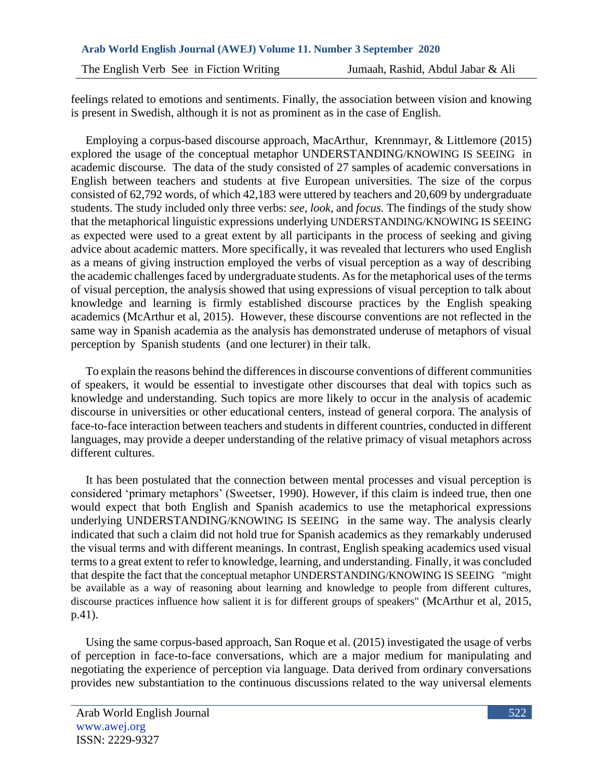feelings related to emotions and sentiments. Finally, the association between vision and knowing is present in Swedish, although it is not as prominent as in the case of English.

 Employing a corpus-based discourse approach, MacArthur, Krennmayr, & Littlemore (2015) explored the usage of the conceptual metaphor UNDERSTANDING/KNOWING IS SEEING in academic discourse. The data of the study consisted of 27 samples of academic conversations in English between teachers and students at five European universities. The size of the corpus consisted of 62,792 words, of which 42,183 were uttered by teachers and 20,609 by undergraduate students. The study included only three verbs: *see*, *look*, and *focus.* The findings of the study show that the metaphorical linguistic expressions underlying UNDERSTANDING/KNOWING IS SEEING as expected were used to a great extent by all participants in the process of seeking and giving advice about academic matters. More specifically, it was revealed that lecturers who used English as a means of giving instruction employed the verbs of visual perception as a way of describing the academic challenges faced by undergraduate students. As for the metaphorical uses of the terms of visual perception, the analysis showed that using expressions of visual perception to talk about knowledge and learning is firmly established discourse practices by the English speaking academics (McArthur et al, 2015). However, these discourse conventions are not reflected in the same way in Spanish academia as the analysis has demonstrated underuse of metaphors of visual perception by Spanish students (and one lecturer) in their talk.

 To explain the reasons behind the differences in discourse conventions of different communities of speakers, it would be essential to investigate other discourses that deal with topics such as knowledge and understanding. Such topics are more likely to occur in the analysis of academic discourse in universities or other educational centers, instead of general corpora. The analysis of face-to-face interaction between teachers and students in different countries, conducted in different languages, may provide a deeper understanding of the relative primacy of visual metaphors across different cultures.

 It has been postulated that the connection between mental processes and visual perception is considered 'primary metaphors' (Sweetser, 1990). However, if this claim is indeed true, then one would expect that both English and Spanish academics to use the metaphorical expressions underlying UNDERSTANDING/KNOWING IS SEEING in the same way. The analysis clearly indicated that such a claim did not hold true for Spanish academics as they remarkably underused the visual terms and with different meanings. In contrast, English speaking academics used visual terms to a great extent to refer to knowledge, learning, and understanding. Finally, it was concluded that despite the fact that the conceptual metaphor UNDERSTANDING/KNOWING IS SEEING "might be available as a way of reasoning about learning and knowledge to people from different cultures, discourse practices influence how salient it is for different groups of speakers" (McArthur et al, 2015, p.41).

 Using the same corpus-based approach, San Roque et al. (2015) investigated the usage of verbs of perception in face-to-face conversations, which are a major medium for manipulating and negotiating the experience of perception via language. Data derived from ordinary conversations provides new substantiation to the continuous discussions related to the way universal elements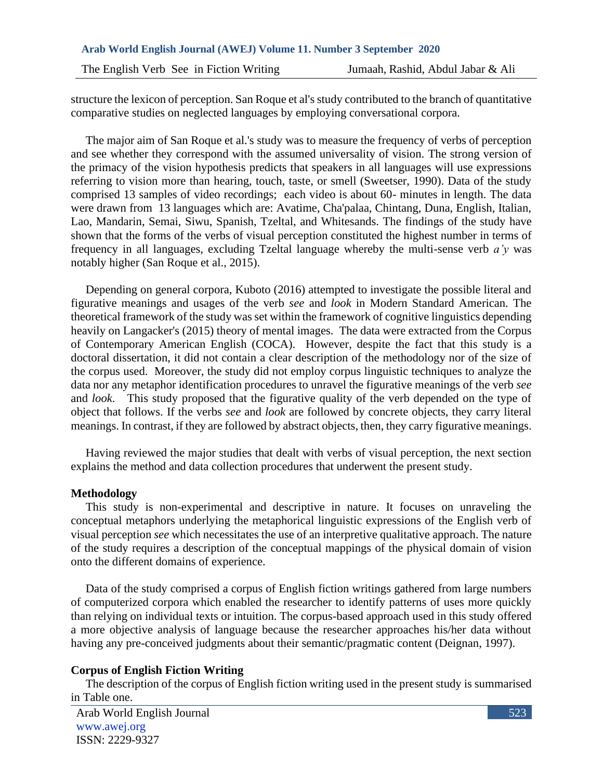structure the lexicon of perception. San Roque et al's study contributed to the branch of quantitative comparative studies on neglected languages by employing conversational corpora.

 The major aim of San Roque et al.'s study was to measure the frequency of verbs of perception and see whether they correspond with the assumed universality of vision. The strong version of the primacy of the vision hypothesis predicts that speakers in all languages will use expressions referring to vision more than hearing, touch, taste, or smell (Sweetser, 1990). Data of the study comprised 13 samples of video recordings; each video is about 60- minutes in length. The data were drawn from 13 languages which are: Avatime, Cha'palaa, Chintang, Duna, English, Italian, Lao, Mandarin, Semai, Siwu, Spanish, Tzeltal, and Whitesands. The findings of the study have shown that the forms of the verbs of visual perception constituted the highest number in terms of frequency in all languages, excluding Tzeltal language whereby the multi-sense verb *a'y* was notably higher (San Roque et al., 2015).

 Depending on general corpora, Kuboto (2016) attempted to investigate the possible literal and figurative meanings and usages of the verb *see* and *look* in Modern Standard American. The theoretical framework of the study was set within the framework of cognitive linguistics depending heavily on Langacker's (2015) theory of mental images. The data were extracted from the Corpus of Contemporary American English (COCA). However, despite the fact that this study is a doctoral dissertation, it did not contain a clear description of the methodology nor of the size of the corpus used. Moreover, the study did not employ corpus linguistic techniques to analyze the data nor any metaphor identification procedures to unravel the figurative meanings of the verb *see* and *look*. This study proposed that the figurative quality of the verb depended on the type of object that follows. If the verbs *see* and *look* are followed by concrete objects, they carry literal meanings. In contrast, if they are followed by abstract objects, then, they carry figurative meanings.

 Having reviewed the major studies that dealt with verbs of visual perception, the next section explains the method and data collection procedures that underwent the present study.

#### **Methodology**

 This study is non-experimental and descriptive in nature. It focuses on unraveling the conceptual metaphors underlying the metaphorical linguistic expressions of the English verb of visual perception *see* which necessitates the use of an interpretive qualitative approach. The nature of the study requires a description of the conceptual mappings of the physical domain of vision onto the different domains of experience.

 Data of the study comprised a corpus of English fiction writings gathered from large numbers of computerized corpora which enabled the researcher to identify patterns of uses more quickly than relying on individual texts or intuition. The corpus-based approach used in this study offered a more objective analysis of language because the researcher approaches his/her data without having any pre-conceived judgments about their semantic/pragmatic content (Deignan, 1997).

#### **Corpus of English Fiction Writing**

 The description of the corpus of English fiction writing used in the present study is summarised in Table one.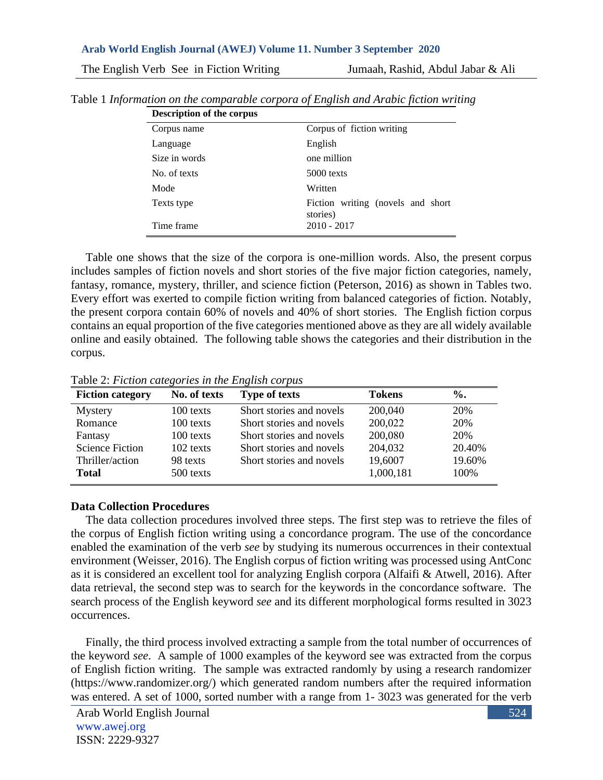| <b>Description of the corpus</b> |                                               |  |  |  |
|----------------------------------|-----------------------------------------------|--|--|--|
| Corpus name                      | Corpus of fiction writing                     |  |  |  |
| Language                         | English                                       |  |  |  |
| Size in words                    | one million                                   |  |  |  |
| No. of texts                     | $5000$ texts                                  |  |  |  |
| Mode                             | Written                                       |  |  |  |
| Texts type                       | Fiction writing (novels and short<br>stories) |  |  |  |
| Time frame                       | $2010 - 2017$                                 |  |  |  |

Table 1 *Information on the comparable corpora of English and Arabic fiction writing* 

 Table one shows that the size of the corpora is one-million words. Also, the present corpus includes samples of fiction novels and short stories of the five major fiction categories, namely, fantasy, romance, mystery, thriller, and science fiction (Peterson, 2016) as shown in Tables two. Every effort was exerted to compile fiction writing from balanced categories of fiction. Notably, the present corpora contain 60% of novels and 40% of short stories. The English fiction corpus contains an equal proportion of the five categories mentioned above as they are all widely available online and easily obtained. The following table shows the categories and their distribution in the corpus.

|  |  | Table 2: Fiction categories in the English corpus |  |  |  |
|--|--|---------------------------------------------------|--|--|--|
|--|--|---------------------------------------------------|--|--|--|

| <b>Fiction category</b> | No. of texts | <b>Type of texts</b>     | <b>Tokens</b> | $\%$ . |
|-------------------------|--------------|--------------------------|---------------|--------|
| Mystery                 | 100 texts    | Short stories and novels | 200,040       | 20%    |
| Romance                 | 100 texts    | Short stories and novels | 200,022       | 20%    |
| Fantasy                 | 100 texts    | Short stories and novels | 200,080       | 20%    |
| <b>Science Fiction</b>  | $102$ texts  | Short stories and novels | 204,032       | 20.40% |
| Thriller/action         | 98 texts     | Short stories and novels | 19,6007       | 19.60% |
| <b>Total</b>            | 500 texts    |                          | 1,000,181     | 100\%  |

# **Data Collection Procedures**

 The data collection procedures involved three steps. The first step was to retrieve the files of the corpus of English fiction writing using a concordance program. The use of the concordance enabled the examination of the verb *see* by studying its numerous occurrences in their contextual environment (Weisser, 2016). The English corpus of fiction writing was processed using AntConc as it is considered an excellent tool for analyzing English corpora (Alfaifi & Atwell, 2016). After data retrieval, the second step was to search for the keywords in the concordance software. The search process of the English keyword *see* and its different morphological forms resulted in 3023 occurrences.

 Finally, the third process involved extracting a sample from the total number of occurrences of the keyword *see*. A sample of 1000 examples of the keyword see was extracted from the corpus of English fiction writing. The sample was extracted randomly by using a research randomizer [\(https://www.randomizer.org/\)](https://www.randomizer.org/) which generated random numbers after the required information was entered. A set of 1000, sorted number with a range from 1- 3023 was generated for the verb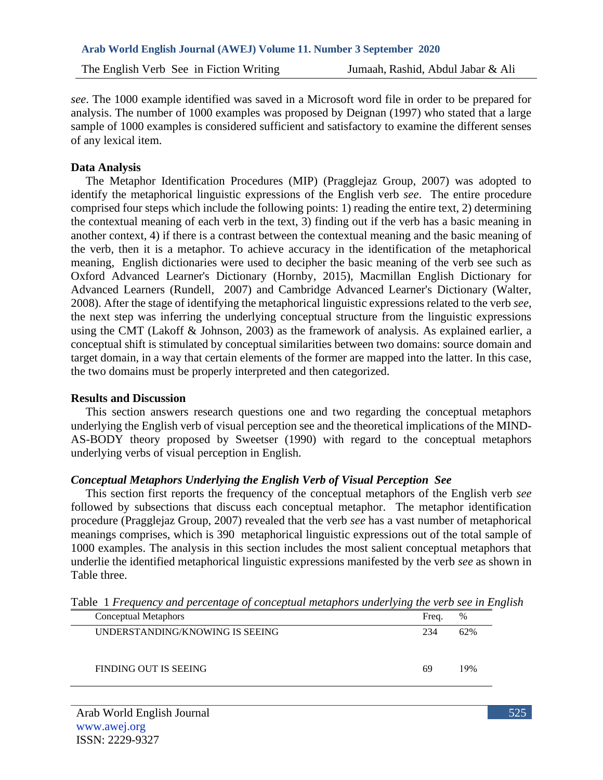*see*. The 1000 example identified was saved in a Microsoft word file in order to be prepared for analysis. The number of 1000 examples was proposed by Deignan (1997) who stated that a large sample of 1000 examples is considered sufficient and satisfactory to examine the different senses of any lexical item.

### **Data Analysis**

 The Metaphor Identification Procedures (MIP) (Pragglejaz Group, 2007) was adopted to identify the metaphorical linguistic expressions of the English verb *see*. The entire procedure comprised four steps which include the following points: 1) reading the entire text, 2) determining the contextual meaning of each verb in the text, 3) finding out if the verb has a basic meaning in another context, 4) if there is a contrast between the contextual meaning and the basic meaning of the verb, then it is a metaphor. To achieve accuracy in the identification of the metaphorical meaning, English dictionaries were used to decipher the basic meaning of the verb see such as Oxford Advanced Learner's Dictionary (Hornby, 2015), Macmillan English Dictionary for Advanced Learners (Rundell, 2007) and Cambridge Advanced Learner's Dictionary (Walter, 2008). After the stage of identifying the metaphorical linguistic expressions related to the verb *see*, the next step was inferring the underlying conceptual structure from the linguistic expressions using the CMT (Lakoff & Johnson, 2003) as the framework of analysis. As explained earlier, a conceptual shift is stimulated by conceptual similarities between two domains: source domain and target domain, in a way that certain elements of the former are mapped into the latter. In this case, the two domains must be properly interpreted and then categorized.

#### **Results and Discussion**

 This section answers research questions one and two regarding the conceptual metaphors underlying the English verb of visual perception see and the theoretical implications of the MIND-AS-BODY theory proposed by Sweetser (1990) with regard to the conceptual metaphors underlying verbs of visual perception in English.

## *Conceptual Metaphors Underlying the English Verb of Visual Perception See*

 This section first reports the frequency of the conceptual metaphors of the English verb *see* followed by subsections that discuss each conceptual metaphor. The metaphor identification procedure (Pragglejaz Group, 2007) revealed that the verb *see* has a vast number of metaphorical meanings comprises, which is 390 metaphorical linguistic expressions out of the total sample of 1000 examples. The analysis in this section includes the most salient conceptual metaphors that underlie the identified metaphorical linguistic expressions manifested by the verb *see* as shown in Table three.

| Conceptual Metaphors            | Freq. | %   |
|---------------------------------|-------|-----|
| UNDERSTANDING/KNOWING IS SEEING | 234   | 62% |
| FINDING OUT IS SEEING           | 69    | 19% |

Table 1 *Frequency and percentage of conceptual metaphors underlying the verb see in English*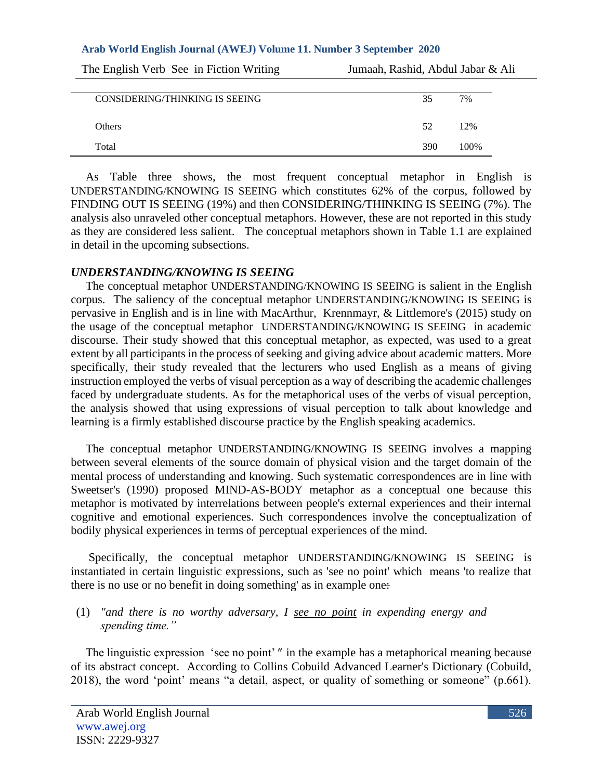| The English Verb See in Fiction Writing | Jumaah, Rashid, Abdul Jabar & Ali |      |
|-----------------------------------------|-----------------------------------|------|
|                                         |                                   |      |
| CONSIDERING/THINKING IS SEEING          | 35                                | 7%   |
|                                         |                                   |      |
| <b>Others</b>                           | 52                                | 12%  |
| Total                                   | 390                               | 100% |

 As Table three shows, the most frequent conceptual metaphor in English is UNDERSTANDING/KNOWING IS SEEING which constitutes 62% of the corpus, followed by FINDING OUT IS SEEING (19%) and then CONSIDERING/THINKING IS SEEING (7%). The analysis also unraveled other conceptual metaphors. However, these are not reported in this study as they are considered less salient. The conceptual metaphors shown in Table 1.1 are explained in detail in the upcoming subsections.

#### *UNDERSTANDING/KNOWING IS SEEING*

 The conceptual metaphor UNDERSTANDING/KNOWING IS SEEING is salient in the English corpus. The saliency of the conceptual metaphor UNDERSTANDING/KNOWING IS SEEING is pervasive in English and is in line with MacArthur, Krennmayr, & Littlemore's (2015) study on the usage of the conceptual metaphor UNDERSTANDING/KNOWING IS SEEING in academic discourse. Their study showed that this conceptual metaphor, as expected, was used to a great extent by all participants in the process of seeking and giving advice about academic matters. More specifically, their study revealed that the lecturers who used English as a means of giving instruction employed the verbs of visual perception as a way of describing the academic challenges faced by undergraduate students. As for the metaphorical uses of the verbs of visual perception, the analysis showed that using expressions of visual perception to talk about knowledge and learning is a firmly established discourse practice by the English speaking academics.

 The conceptual metaphor UNDERSTANDING/KNOWING IS SEEING involves a mapping between several elements of the source domain of physical vision and the target domain of the mental process of understanding and knowing. Such systematic correspondences are in line with Sweetser's (1990) proposed MIND-AS-BODY metaphor as a conceptual one because this metaphor is motivated by interrelations between people's external experiences and their internal cognitive and emotional experiences. Such correspondences involve the conceptualization of bodily physical experiences in terms of perceptual experiences of the mind.

 Specifically, the conceptual metaphor UNDERSTANDING/KNOWING IS SEEING is instantiated in certain linguistic expressions, such as 'see no point' which means 'to realize that there is no use or no benefit in doing something' as in example one:

### (1) *"and there is no worthy adversary, I see no point in expending energy and spending time."*

 The linguistic expression 'see no point'" in the example has a metaphorical meaning because of its abstract concept. According to Collins Cobuild Advanced Learner's Dictionary (Cobuild, 2018), the word 'point' means "a detail, aspect, or quality of something or someone" (p.661).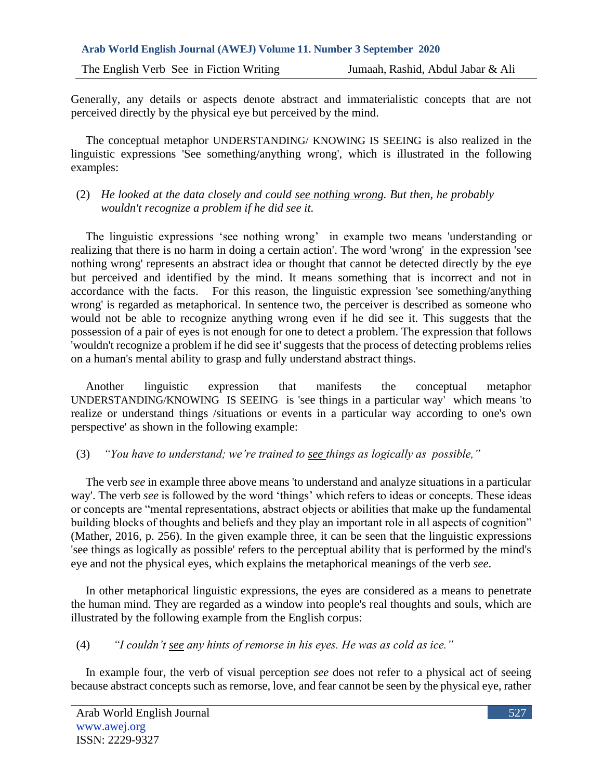Generally, any details or aspects denote abstract and immaterialistic concepts that are not perceived directly by the physical eye but perceived by the mind.

 The conceptual metaphor UNDERSTANDING/ KNOWING IS SEEING is also realized in the linguistic expressions 'See something/anything wrong', which is illustrated in the following examples:

## (2) *He looked at the data closely and could see nothing wrong. But then, he probably wouldn't recognize a problem if he did see it.*

 The linguistic expressions 'see nothing wrong' in example two means 'understanding or realizing that there is no harm in doing a certain action'. The word 'wrong' in the expression 'see nothing wrong' represents an abstract idea or thought that cannot be detected directly by the eye but perceived and identified by the mind. It means something that is incorrect and not in accordance with the facts. For this reason, the linguistic expression 'see something/anything wrong' is regarded as metaphorical. In sentence two, the perceiver is described as someone who would not be able to recognize anything wrong even if he did see it. This suggests that the possession of a pair of eyes is not enough for one to detect a problem. The expression that follows 'wouldn't recognize a problem if he did see it' suggests that the process of detecting problems relies on a human's mental ability to grasp and fully understand abstract things.

 Another linguistic expression that manifests the conceptual metaphor UNDERSTANDING/KNOWING IS SEEING is 'see things in a particular way' which means 'to realize or understand things /situations or events in a particular way according to one's own perspective' as shown in the following example:

# (3) *"You have to understand; we're trained to see things as logically as possible,"*

 The verb *see* in example three above means 'to understand and analyze situations in a particular way'. The verb *see* is followed by the word 'things' which refers to ideas or concepts. These ideas or concepts are "mental representations, abstract objects or abilities that make up the fundamental building blocks of thoughts and beliefs and they play an important role in all aspects of cognition" (Mather, 2016, p. 256). In the given example three, it can be seen that the linguistic expressions 'see things as logically as possible' refers to the perceptual ability that is performed by the mind's eye and not the physical eyes, which explains the metaphorical meanings of the verb *see*.

 In other metaphorical linguistic expressions, the eyes are considered as a means to penetrate the human mind. They are regarded as a window into people's real thoughts and souls, which are illustrated by the following example from the English corpus:

(4) *"I couldn't see any hints of remorse in his eyes. He was as cold as ice."*

 In example four, the verb of visual perception *see* does not refer to a physical act of seeing because abstract concepts such as remorse, love, and fear cannot be seen by the physical eye, rather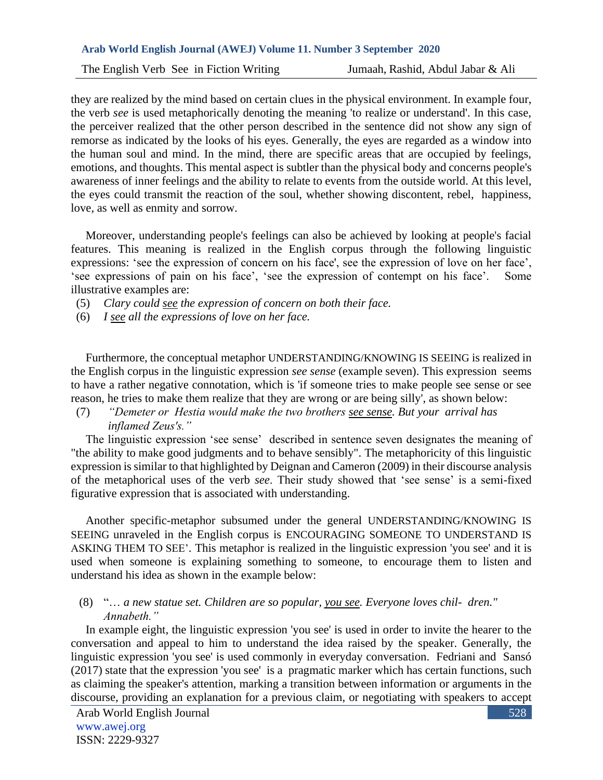The English Verb See in Fiction Writing Jumaah, Rashid, Abdul Jabar & Ali

they are realized by the mind based on certain clues in the physical environment. In example four, the verb *see* is used metaphorically denoting the meaning 'to realize or understand'. In this case, the perceiver realized that the other person described in the sentence did not show any sign of remorse as indicated by the looks of his eyes. Generally, the eyes are regarded as a window into the human soul and mind. In the mind, there are specific areas that are occupied by feelings, emotions, and thoughts. This mental aspect is subtler than the physical body and concerns people's awareness of inner feelings and the ability to relate to events from the outside world. At this level, the eyes could transmit the reaction of the soul, whether showing discontent, rebel, happiness, love, as well as enmity and sorrow.

 Moreover, understanding people's feelings can also be achieved by looking at people's facial features. This meaning is realized in the English corpus through the following linguistic expressions: 'see the expression of concern on his face', see the expression of love on her face', 'see expressions of pain on his face', 'see the expression of contempt on his face'. Some illustrative examples are:

- (5) *Clary could see the expression of concern on both their face.*
- (6) *I see all the expressions of love on her face.*

 Furthermore, the conceptual metaphor UNDERSTANDING/KNOWING IS SEEING is realized in the English corpus in the linguistic expression *see sense* (example seven). This expression seems to have a rather negative connotation, which is 'if someone tries to make people see sense or see reason, he tries to make them realize that they are wrong or are being silly', as shown below:

(7) *"Demeter or Hestia would make the two brothers see sense. But your arrival has inflamed Zeus's."*

 The linguistic expression 'see sense' described in sentence seven designates the meaning of "the ability to make good judgments and to behave sensibly". The metaphoricity of this linguistic expression is similar to that highlighted by Deignan and Cameron (2009) in their discourse analysis of the metaphorical uses of the verb *see*. Their study showed that 'see sense' is a semi-fixed figurative expression that is associated with understanding.

 Another specific-metaphor subsumed under the general UNDERSTANDING/KNOWING IS SEEING unraveled in the English corpus is ENCOURAGING SOMEONE TO UNDERSTAND IS ASKING THEM TO SEE'. This metaphor is realized in the linguistic expression 'you see' and it is used when someone is explaining something to someone, to encourage them to listen and understand his idea as shown in the example below:

## (8) "… *a new statue set. Children are so popular, you see. Everyone loves chil- dren." Annabeth."*

 In example eight, the linguistic expression 'you see' is used in order to invite the hearer to the conversation and appeal to him to understand the idea raised by the speaker. Generally, the linguistic expression 'you see' is used commonly in everyday conversation. Fedriani and Sansó (2017) state that the expression 'you see' is a pragmatic marker which has certain functions, such as claiming the speaker's attention, marking a transition between information or arguments in the discourse, providing an explanation for a previous claim, or negotiating with speakers to accept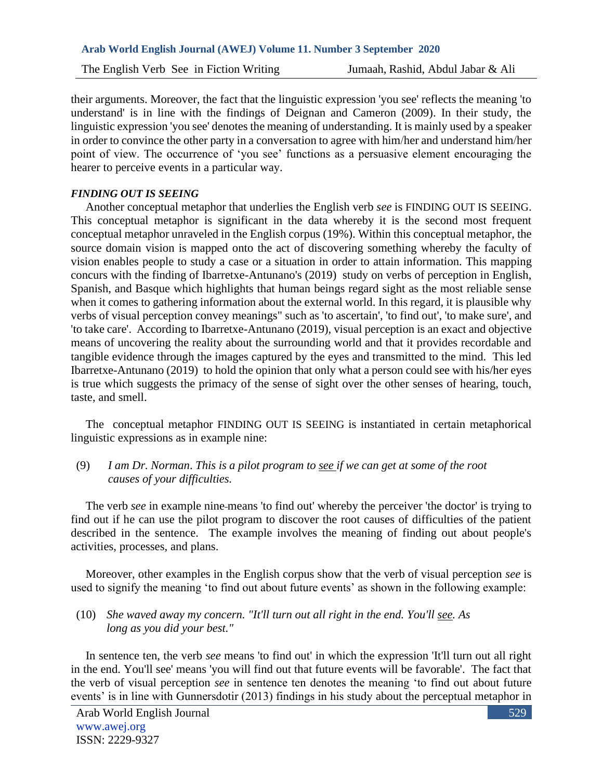their arguments. Moreover, the fact that the linguistic expression 'you see' reflects the meaning 'to understand' is in line with the findings of Deignan and Cameron (2009). In their study, the linguistic expression 'you see' denotes the meaning of understanding. It is mainly used by a speaker in order to convince the other party in a conversation to agree with him/her and understand him/her point of view. The occurrence of 'you see' functions as a persuasive element encouraging the hearer to perceive events in a particular way.

## *FINDING OUT IS SEEING*

 Another conceptual metaphor that underlies the English verb *see* is FINDING OUT IS SEEING. This conceptual metaphor is significant in the data whereby it is the second most frequent conceptual metaphor unraveled in the English corpus (19%). Within this conceptual metaphor, the source domain vision is mapped onto the act of discovering something whereby the faculty of vision enables people to study a case or a situation in order to attain information. This mapping concurs with the finding of Ibarretxe-Antunano's (2019) study on verbs of perception in English, Spanish, and Basque which highlights that human beings regard sight as the most reliable sense when it comes to gathering information about the external world. In this regard, it is plausible why verbs of visual perception convey meanings" such as 'to ascertain', 'to find out', 'to make sure', and 'to take care'. According to Ibarretxe-Antunano (2019), visual perception is an exact and objective means of uncovering the reality about the surrounding world and that it provides recordable and tangible evidence through the images captured by the eyes and transmitted to the mind. This led Ibarretxe-Antunano (2019) to hold the opinion that only what a person could see with his/her eyes is true which suggests the primacy of the sense of sight over the other senses of hearing, touch, taste, and smell.

 The conceptual metaphor FINDING OUT IS SEEING is instantiated in certain metaphorical linguistic expressions as in example nine:

(9) *I am Dr. Norman*. *This is a pilot program to see if we can get at some of the root causes of your difficulties.* 

 The verb *see* in example nine means 'to find out' whereby the perceiver 'the doctor' is trying to find out if he can use the pilot program to discover the root causes of difficulties of the patient described in the sentence. The example involves the meaning of finding out about people's activities, processes, and plans.

 Moreover, other examples in the English corpus show that the verb of visual perception *see* is used to signify the meaning 'to find out about future events' as shown in the following example:

(10) *She waved away my concern. "It'll turn out all right in the end. You'll see. As long as you did your best."* 

 In sentence ten, the verb *see* means 'to find out' in which the expression 'It'll turn out all right in the end. You'll see' means 'you will find out that future events will be favorable'. The fact that the verb of visual perception *see* in sentence ten denotes the meaning 'to find out about future events' is in line with Gunnersdotir (2013) findings in his study about the perceptual metaphor in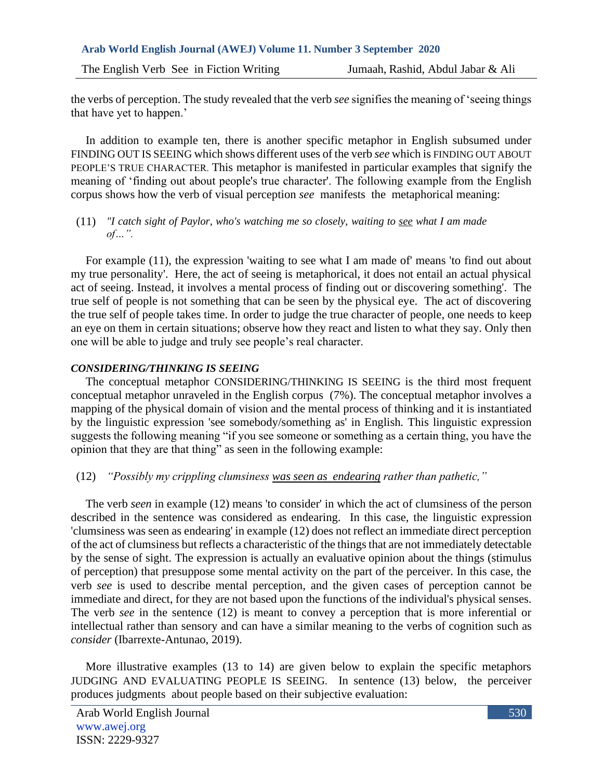the verbs of perception. The study revealed that the verb *see* signifies the meaning of 'seeing things that have yet to happen.'

 In addition to example ten, there is another specific metaphor in English subsumed under FINDING OUT IS SEEING which shows different uses of the verb *see* which is FINDING OUT ABOUT PEOPLE'S TRUE CHARACTER. This metaphor is manifested in particular examples that signify the meaning of 'finding out about people's true character'. The following example from the English corpus shows how the verb of visual perception *see* manifests the metaphorical meaning:

### (11) *"I catch sight of Paylor, who's watching me so closely, waiting to see what I am made of…".*

 For example (11), the expression 'waiting to see what I am made of' means 'to find out about my true personality'. Here, the act of seeing is metaphorical, it does not entail an actual physical act of seeing. Instead, it involves a mental process of finding out or discovering something'. The true self of people is not something that can be seen by the physical eye. The act of discovering the true self of people takes time. In order to judge the true character of people, one needs to keep an eye on them in certain situations; observe how they react and listen to what they say. Only then one will be able to judge and truly see people's real character.

## *CONSIDERING/THINKING IS SEEING*

 The conceptual metaphor CONSIDERING/THINKING IS SEEING is the third most frequent conceptual metaphor unraveled in the English corpus (7%). The conceptual metaphor involves a mapping of the physical domain of vision and the mental process of thinking and it is instantiated by the linguistic expression 'see somebody/something as' in English*.* This linguistic expression suggests the following meaning "if you see someone or something as a certain thing, you have the opinion that they are that thing" as seen in the following example:

# (12) *"Possibly my crippling clumsiness was seen as endearing rather than pathetic,"*

 The verb *seen* in example (12) means 'to consider' in which the act of clumsiness of the person described in the sentence was considered as endearing. In this case, the linguistic expression 'clumsiness was seen as endearing' in example (12) does not reflect an immediate direct perception of the act of clumsiness but reflects a characteristic of the things that are not immediately detectable by the sense of sight. The expression is actually an evaluative opinion about the things (stimulus of perception) that presuppose some mental activity on the part of the perceiver. In this case, the verb *see* is used to describe mental perception, and the given cases of perception cannot be immediate and direct, for they are not based upon the functions of the individual's physical senses. The verb *see* in the sentence (12) is meant to convey a perception that is more inferential or intellectual rather than sensory and can have a similar meaning to the verbs of cognition such as *consider* (Ibarrexte-Antunao, 2019).

 More illustrative examples (13 to 14) are given below to explain the specific metaphors JUDGING AND EVALUATING PEOPLE IS SEEING. In sentence (13) below, the perceiver produces judgments about people based on their subjective evaluation: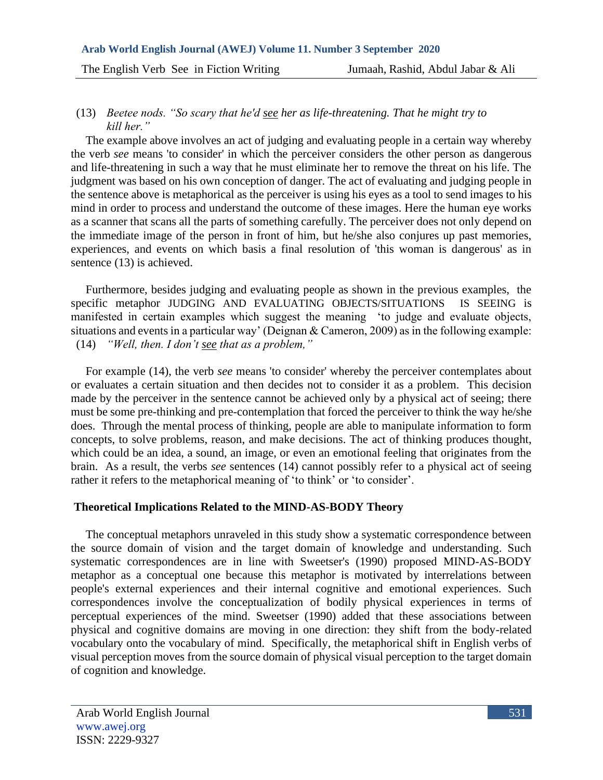### (13) *Beetee nods. "So scary that he'd see her as life-threatening. That he might try to kill her."*

 The example above involves an act of judging and evaluating people in a certain way whereby the verb *see* means 'to consider' in which the perceiver considers the other person as dangerous and life-threatening in such a way that he must eliminate her to remove the threat on his life. The judgment was based on his own conception of danger. The act of evaluating and judging people in the sentence above is metaphorical as the perceiver is using his eyes as a tool to send images to his mind in order to process and understand the outcome of these images. Here the human eye works as a scanner that scans all the parts of something carefully. The perceiver does not only depend on the immediate image of the person in front of him, but he/she also conjures up past memories, experiences, and events on which basis a final resolution of 'this woman is dangerous' as in sentence (13) is achieved.

 Furthermore, besides judging and evaluating people as shown in the previous examples, the specific metaphor JUDGING AND EVALUATING OBJECTS/SITUATIONS IS SEEING is manifested in certain examples which suggest the meaning 'to judge and evaluate objects, situations and events in a particular way' (Deignan & Cameron, 2009) as in the following example: (14) *"Well, then. I don't see that as a problem,"* 

 For example (14), the verb *see* means 'to consider' whereby the perceiver contemplates about or evaluates a certain situation and then decides not to consider it as a problem. This decision made by the perceiver in the sentence cannot be achieved only by a physical act of seeing; there must be some pre-thinking and pre-contemplation that forced the perceiver to think the way he/she does. Through the mental process of thinking, people are able to manipulate information to form concepts, to solve problems, reason, and make decisions. The act of thinking produces thought, which could be an idea, a sound, an image, or even an emotional feeling that originates from the brain. As a result, the verbs *see* sentences (14) cannot possibly refer to a physical act of seeing rather it refers to the metaphorical meaning of 'to think' or 'to consider'.

## **Theoretical Implications Related to the MIND-AS-BODY Theory**

 The conceptual metaphors unraveled in this study show a systematic correspondence between the source domain of vision and the target domain of knowledge and understanding. Such systematic correspondences are in line with Sweetser's (1990) proposed MIND-AS-BODY metaphor as a conceptual one because this metaphor is motivated by interrelations between people's external experiences and their internal cognitive and emotional experiences. Such correspondences involve the conceptualization of bodily physical experiences in terms of perceptual experiences of the mind. Sweetser (1990) added that these associations between physical and cognitive domains are moving in one direction: they shift from the body-related vocabulary onto the vocabulary of mind. Specifically, the metaphorical shift in English verbs of visual perception moves from the source domain of physical visual perception to the target domain of cognition and knowledge.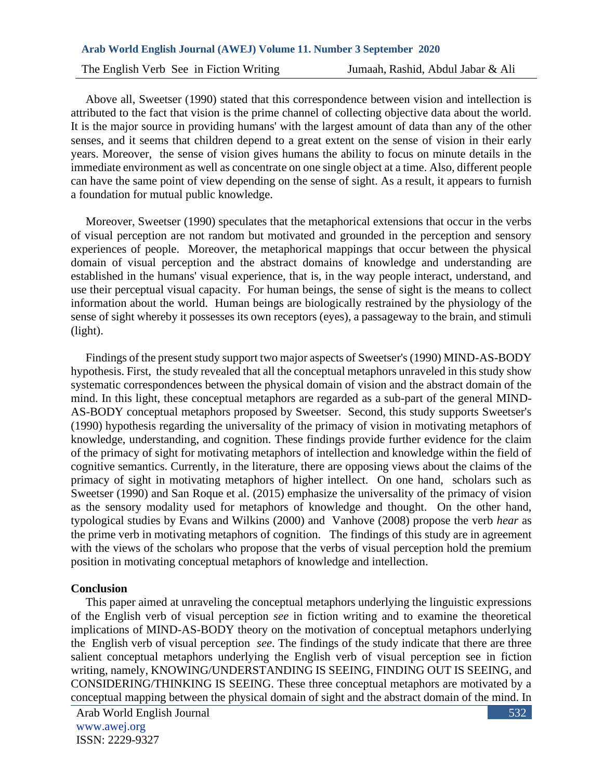Above all, Sweetser (1990) stated that this correspondence between vision and intellection is attributed to the fact that vision is the prime channel of collecting objective data about the world. It is the major source in providing humans' with the largest amount of data than any of the other senses, and it seems that children depend to a great extent on the sense of vision in their early years. Moreover, the sense of vision gives humans the ability to focus on minute details in the immediate environment as well as concentrate on one single object at a time. Also, different people can have the same point of view depending on the sense of sight. As a result, it appears to furnish a foundation for mutual public knowledge.

 Moreover, Sweetser (1990) speculates that the metaphorical extensions that occur in the verbs of visual perception are not random but motivated and grounded in the perception and sensory experiences of people. Moreover, the metaphorical mappings that occur between the physical domain of visual perception and the abstract domains of knowledge and understanding are established in the humans' visual experience, that is, in the way people interact, understand, and use their perceptual visual capacity. For human beings, the sense of sight is the means to collect information about the world. Human beings are biologically restrained by the physiology of the sense of sight whereby it possesses its own receptors (eyes), a passageway to the brain, and stimuli (light).

 Findings of the present study support two major aspects of Sweetser's (1990) MIND-AS-BODY hypothesis. First, the study revealed that all the conceptual metaphors unraveled in this study show systematic correspondences between the physical domain of vision and the abstract domain of the mind. In this light, these conceptual metaphors are regarded as a sub-part of the general MIND-AS-BODY conceptual metaphors proposed by Sweetser. Second, this study supports Sweetser's (1990) hypothesis regarding the universality of the primacy of vision in motivating metaphors of knowledge, understanding, and cognition. These findings provide further evidence for the claim of the primacy of sight for motivating metaphors of intellection and knowledge within the field of cognitive semantics. Currently, in the literature, there are opposing views about the claims of the primacy of sight in motivating metaphors of higher intellect. On one hand, scholars such as Sweetser (1990) and San Roque et al. (2015) emphasize the universality of the primacy of vision as the sensory modality used for metaphors of knowledge and thought. On the other hand, typological studies by Evans and Wilkins (2000) and Vanhove (2008) propose the verb *hear* as the prime verb in motivating metaphors of cognition. The findings of this study are in agreement with the views of the scholars who propose that the verbs of visual perception hold the premium position in motivating conceptual metaphors of knowledge and intellection.

#### **Conclusion**

 This paper aimed at unraveling the conceptual metaphors underlying the linguistic expressions of the English verb of visual perception *see* in fiction writing and to examine the theoretical implications of MIND-AS-BODY theory on the motivation of conceptual metaphors underlying the English verb of visual perception *see*. The findings of the study indicate that there are three salient conceptual metaphors underlying the English verb of visual perception see in fiction writing, namely, KNOWING/UNDERSTANDING IS SEEING, FINDING OUT IS SEEING, and CONSIDERING/THINKING IS SEEING. These three conceptual metaphors are motivated by a conceptual mapping between the physical domain of sight and the abstract domain of the mind. In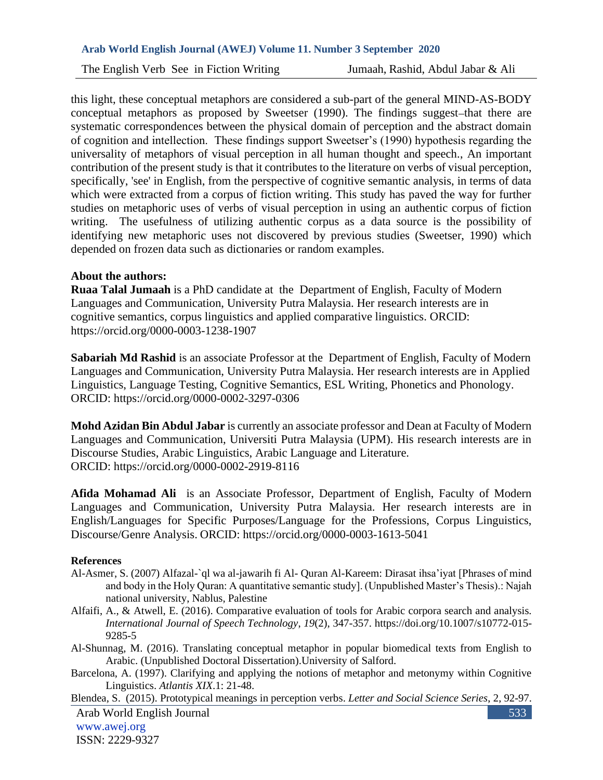this light, these conceptual metaphors are considered a sub-part of the general MIND-AS-BODY conceptual metaphors as proposed by Sweetser (1990). The findings suggest-that there are systematic correspondences between the physical domain of perception and the abstract domain of cognition and intellection. These findings support Sweetser's (1990) hypothesis regarding the universality of metaphors of visual perception in all human thought and speech., An important contribution of the present study is that it contributes to the literature on verbs of visual perception, specifically, 'see' in English, from the perspective of cognitive semantic analysis, in terms of data which were extracted from a corpus of fiction writing. This study has paved the way for further studies on metaphoric uses of verbs of visual perception in using an authentic corpus of fiction writing. The usefulness of utilizing authentic corpus as a data source is the possibility of identifying new metaphoric uses not discovered by previous studies (Sweetser, 1990) which depended on frozen data such as dictionaries or random examples.

### **About the authors:**

**Ruaa Talal Jumaah** is a PhD candidate at the Department of English, Faculty of Modern Languages and Communication, University Putra Malaysia. Her research interests are in cognitive semantics, corpus linguistics and applied comparative linguistics. ORCID: https://orcid.org/0000-0003-1238-1907

**Sabariah Md Rashid** is an associate Professor at the Department of English, Faculty of Modern Languages and Communication, University Putra Malaysia. Her research interests are in Applied Linguistics, Language Testing, Cognitive Semantics, ESL Writing, Phonetics and Phonology. ORCID: https://orcid.org/0000-0002-3297-0306

**Mohd Azidan Bin Abdul Jabar** is currently an associate professor and Dean at Faculty of Modern Languages and Communication, Universiti Putra Malaysia (UPM). His research interests are in Discourse Studies, Arabic Linguistics, Arabic Language and Literature. ORCID: https://orcid.org/0000-0002-2919-8116

**Afida Mohamad Ali** is an Associate Professor, Department of English, Faculty of Modern Languages and Communication, University Putra Malaysia. Her research interests are in English/Languages for Specific Purposes/Language for the Professions, Corpus Linguistics, Discourse/Genre Analysis. ORCID: https://orcid.org/0000-0003-1613-5041

#### **References**

- Al-Asmer, S. (2007) Alfazal-`ql wa al-jawarih fi Al- Quran Al-Kareem: Dirasat ihsa'iyat [Phrases of mind and body in the Holy Quran: A quantitative semantic study]. (Unpublished Master's Thesis).: Najah national university, Nablus, Palestine
- Alfaifi, A., & Atwell, E. (2016). Comparative evaluation of tools for Arabic corpora search and analysis. *International Journal of Speech Technology*, *19*(2), 347-357. https://doi.org/10.1007/s10772-015- 9285-5
- Al-Shunnag, M. (2016). Translating conceptual metaphor in popular biomedical texts from English to Arabic. (Unpublished Doctoral Dissertation).University of Salford.
- Barcelona, A. (1997). Clarifying and applying the notions of metaphor and metonymy within Cognitive Linguistics. *Atlantis XIX*.1: 21-48.

Arab World English Journal www.awej.org ISSN: 2229-9327 533 Blendea, S. (2015). Prototypical meanings in perception verbs. *Letter and Social Science Series*, 2, 92-97.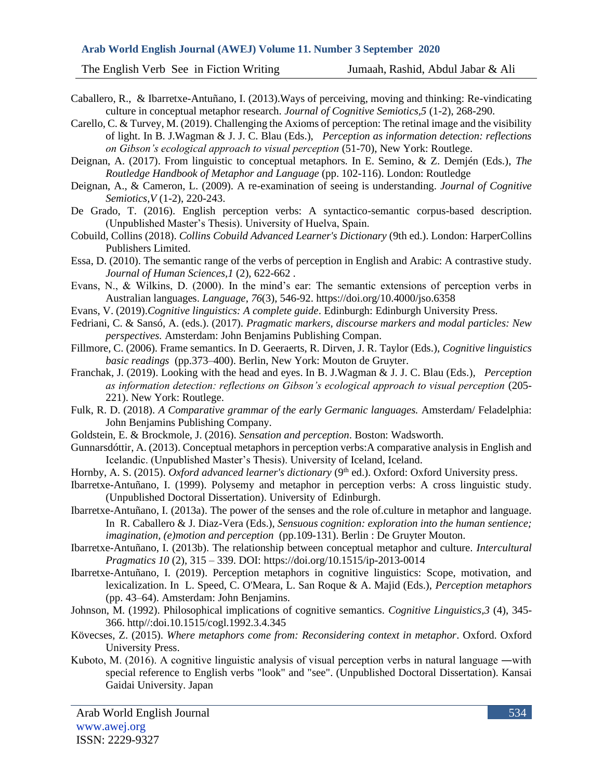- Caballero, R., & Ibarretxe-Antuñano, I. (2013).Ways of perceiving, moving and thinking: Re-vindicating culture in conceptual metaphor research. *Journal of Cognitive Semiotics,5* (1-2), 268-290.
- Carello, C. & Turvey, M. (2019). Challenging the Axioms of perception: The retinal image and the visibility of light. In B. J.Wagman & J. J. C. Blau (Eds.), *Perception as information detection: reflections on Gibson's ecological approach to visual perception* (51-70), New York: Routlege.

Deignan, A. (2017). From linguistic to conceptual metaphors. In E. Semino, & Z. Demjén (Eds.), *The Routledge Handbook of Metaphor and Language* (pp. 102-116). London: Routledge

- Deignan, A., & Cameron, L. (2009). A re-examination of seeing is understanding. *Journal of Cognitive Semiotics,V* (1-2), 220-243.
- De Grado, T. (2016). English perception verbs: A syntactico-semantic corpus-based description. (Unpublished Master's Thesis). University of Huelva, Spain.
- Cobuild, Collins (2018). *Collins Cobuild Advanced Learner's Dictionary* (9th ed.). London: HarperCollins Publishers Limited.
- Essa, D. (2010). The semantic range of the verbs of perception in English and Arabic: A contrastive study. *Journal of Human Sciences,1* (2), 622-662 .
- Evans, N., & Wilkins, D. (2000). In the mind's ear: The semantic extensions of perception verbs in Australian languages. *Language*, *76*(3), 546-92.<https://doi.org/10.4000/jso.6358>
- Evans, V. (2019).*Cognitive linguistics: A complete guide*. Edinburgh: Edinburgh University Press.
- Fedriani, C. & Sansó, A. (eds.). (2017). *Pragmatic markers, discourse markers and modal particles: New perspectives.* Amsterdam: John Benjamins Publishing Compan.
- Fillmore, C. (2006). Frame semantics. In D. Geeraerts, R. Dirven, J. R. Taylor (Eds.), *Cognitive linguistics basic readings* (pp.373–400). Berlin, New York: Mouton de Gruyter.
- Franchak, J. (2019). Looking with the head and eyes. In B. J.Wagman & J. J. C. Blau (Eds.), *Perception as information detection: reflections on Gibson's ecological approach to visual perception* (205- 221). New York: Routlege.
- Fulk, R. D. (2018). *A Comparative grammar of the early Germanic languages.* Amsterdam/ Feladelphia: John Benjamins Publishing Company.
- Goldstein, E. & Brockmole, J. (2016). *Sensation and perception*. Boston: Wadsworth.
- Gunnarsdóttir, A. (2013). Conceptual metaphors in perception verbs:A comparative analysis in English and Icelandic. (Unpublished Master's Thesis). University of Iceland, Iceland.
- Hornby, A. S. (2015). *Oxford advanced learner's dictionary* (9<sup>th</sup> ed.). Oxford: Oxford University press.
- Ibarretxe-Antuñano, I. (1999). Polysemy and metaphor in perception verbs: A cross linguistic study. (Unpublished Doctoral Dissertation). University of Edinburgh.
- Ibarretxe-Antuñano, I. (2013a). The power of the senses and the role of.culture in metaphor and language. In R. Caballero & J. Diaz-Vera (Eds.), *Sensuous cognition: exploration into the human sentience; imagination, (e)motion and perception* (pp.109-131). Berlin : De Gruyter Mouton.
- Ibarretxe-Antuñano, I. (2013b). The relationship between conceptual metaphor and culture. *Intercultural Pragmatics 10* (2), 315 – 339. DOI:<https://doi.org/10.1515/ip-2013-0014>
- Ibarretxe-Antuñano, I. (2019). Perception metaphors in cognitive linguistics: Scope, motivation, and lexicalization. In L. Speed, C. O'Meara, L. San Roque & A. Majid (Eds.), *Perception metaphors* (pp. 43–64). Amsterdam: John Benjamins.
- Johnson, M. (1992). Philosophical implications of cognitive semantics. *Cognitive Linguistics,3* (4), 345- 366. http//:doi.10.1515/cogl.1992.3.4.345
- Kövecses, Z. (2015). *Where metaphors come from: Reconsidering context in metaphor*. Oxford. Oxford University Press.
- Kuboto, M. (2016). A cognitive linguistic analysis of visual perception verbs in natural language ―with special reference to English verbs "look" and "see". (Unpublished Doctoral Dissertation). Kansai Gaidai University. Japan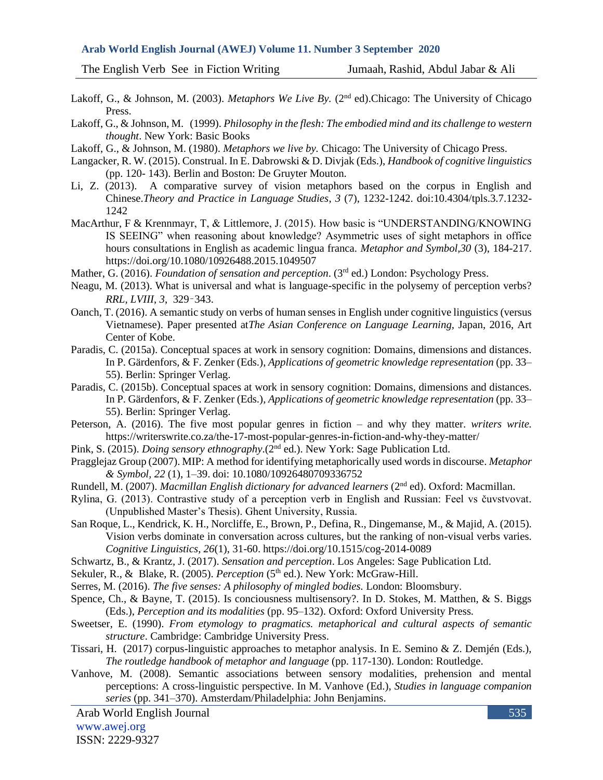The English Verb See in Fiction Writing Jumaah, Rashid, Abdul Jabar & Ali

- Lakoff, G., & Johnson, M. (2003). *Metaphors We Live By.* (2<sup>nd</sup> ed). Chicago: The University of Chicago Press.
- Lakoff, G., & Johnson, M. (1999). *Philosophy in the flesh: The embodied mind and its challenge to western thought*. New York: Basic Books
- Lakoff, G., & Johnson, M. (1980). *Metaphors we live by.* Chicago: The University of Chicago Press.
- Langacker, R. W. (2015). Construal. In E. Dabrowski & D. Divjak (Eds.), *Handbook of cognitive linguistics* (pp. 120- 143). Berlin and Boston: De Gruyter Mouton.
- Li, Z. (2013). A comparative survey of vision metaphors based on the corpus in English and Chinese.*Theory and Practice in Language Studies*, *3* (7), 1232-1242. doi:10.4304/tpls.3.7.1232- 1242
- MacArthur, F & Krennmayr, T, & Littlemore, J. (2015). How basic is "UNDERSTANDING/KNOWING IS SEEING" when reasoning about knowledge? Asymmetric uses of sight metaphors in office hours consultations in English as academic lingua franca. *Metaphor and Symbol,30* (3), 184-217. https://doi.org/10.1080/10926488.2015.1049507
- Mather, G. (2016). *Foundation of sensation and perception*. (3<sup>rd</sup> ed.) London: Psychology Press.
- Neagu, M. (2013). What is universal and what is language-specific in the polysemy of perception verbs? *RRL, LVIII*, *3*, 329–343.
- Oanch, T. (2016). A semantic study on verbs of human senses in English under cognitive linguistics (versus Vietnamese). Paper presented at*The Asian Conference on Language Learning,* Japan, 2016, Art Center of Kobe.
- Paradis, C. (2015a). Conceptual spaces at work in sensory cognition: Domains, dimensions and distances. In P. Gärdenfors, & F. Zenker (Eds.), *Applications of geometric knowledge representation* (pp. 33– 55). Berlin: Springer Verlag.
- Paradis, C. (2015b). Conceptual spaces at work in sensory cognition: Domains, dimensions and distances. In P. Gärdenfors, & F. Zenker (Eds.), *Applications of geometric knowledge representation* (pp. 33– 55). Berlin: Springer Verlag.
- Peterson, A. (2016). The five most popular genres in fiction and why they matter. *writers write.* <https://writerswrite.co.za/the-17-most-popular-genres-in-fiction-and-why-they-matter/>
- Pink, S. (2015). *Doing sensory ethnography*. (2<sup>nd</sup> ed.). New York: Sage Publication Ltd.
- Pragglejaz Group (2007). MIP: A method for identifying metaphorically used words in discourse. *Metaphor & Symbol, 22* (1), 1–39. doi: 10.1080/10926480709336752
- Rundell, M. (2007). *Macmillan English dictionary for advanced learners* (2nd ed). Oxford: Macmillan.
- Rylina, G. (2013). Contrastive study of a perception verb in English and Russian: Feel vs čuvstvovat*.* (Unpublished Master's Thesis). Ghent University, Russia.
- San Roque, L., Kendrick, K. H., Norcliffe, E., Brown, P., Defina, R., Dingemanse, M., & Majid, A. (2015). Vision verbs dominate in conversation across cultures, but the ranking of non-visual verbs varies. *Cognitive Linguistics*, *26*(1), 31-60. https://doi.org/10.1515/cog-2014-0089
- Schwartz, B., & Krantz, J. (2017). *Sensation and perception*. Los Angeles: Sage Publication Ltd.
- Sekuler, R., & Blake, R. (2005). *Perception* (5<sup>th</sup> ed.). New York: McGraw-Hill.
- Serres, M. (2016). *The five senses: A philosophy of mingled bodies.* London: Bloomsbury.
- Spence, Ch., & Bayne, T. (2015). Is conciousness multisensory?. In D. Stokes, M. Matthen, & S. Biggs (Eds.), *Perception and its modalities* (pp. 95–132). Oxford: Oxford University Press.
- Sweetser, E. (1990). *From etymology to pragmatics. metaphorical and cultural aspects of semantic structure*. Cambridge: Cambridge University Press.
- Tissari, H. (2017) corpus-linguistic approaches to metaphor analysis. In E. Semino & Z. Demjén (Eds.), *The routledge handbook of metaphor and language* (pp. 117-130). London: Routledge.
- Vanhove, M. (2008). Semantic associations between sensory modalities, prehension and mental perceptions: A cross-linguistic perspective. In M. Vanhove (Ed.), *[Studies in language companion](https://benjamins.com/#catalog/books/slcs)  [series](https://benjamins.com/#catalog/books/slcs)* (pp. 341–370). Amsterdam/Philadelphia: John Benjamins.

Arab World English Journal www.awej.org ISSN: 2229-9327